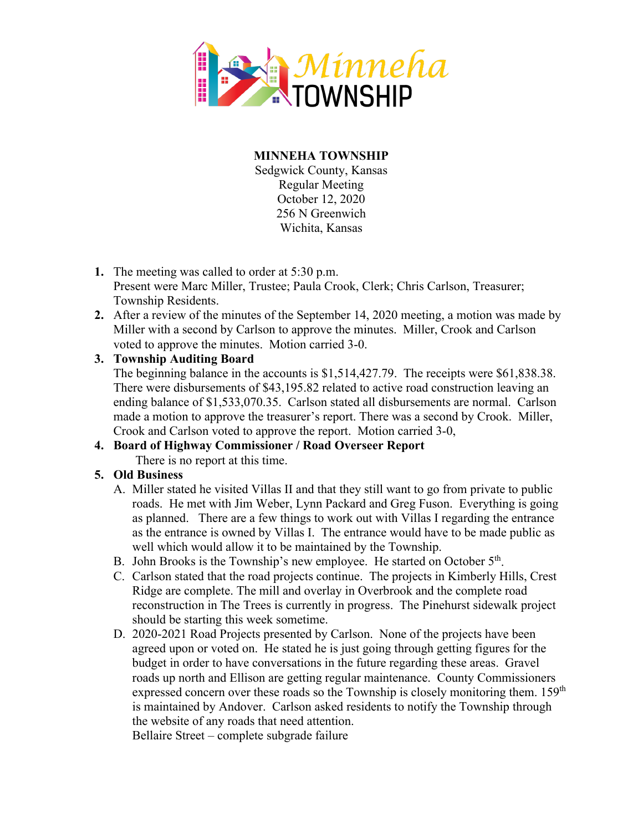

**MINNEHA TOWNSHIP** Sedgwick County, Kansas Regular Meeting October 12, 2020 256 N Greenwich Wichita, Kansas

- **1.** The meeting was called to order at 5:30 p.m.
- Present were Marc Miller, Trustee; Paula Crook, Clerk; Chris Carlson, Treasurer; Township Residents.
- **2.** After a review of the minutes of the September 14, 2020 meeting, a motion was made by Miller with a second by Carlson to approve the minutes. Miller, Crook and Carlson voted to approve the minutes. Motion carried 3-0.

## **3. Township Auditing Board**

The beginning balance in the accounts is \$1,514,427.79. The receipts were \$61,838.38. There were disbursements of \$43,195.82 related to active road construction leaving an ending balance of \$1,533,070.35. Carlson stated all disbursements are normal. Carlson made a motion to approve the treasurer's report. There was a second by Crook. Miller, Crook and Carlson voted to approve the report. Motion carried 3-0,

## **4. Board of Highway Commissioner / Road Overseer Report**

There is no report at this time.

## **5. Old Business**

- A. Miller stated he visited Villas II and that they still want to go from private to public roads. He met with Jim Weber, Lynn Packard and Greg Fuson. Everything is going as planned. There are a few things to work out with Villas I regarding the entrance as the entrance is owned by Villas I. The entrance would have to be made public as well which would allow it to be maintained by the Township.
- B. John Brooks is the Township's new employee. He started on October 5<sup>th</sup>.
- C. Carlson stated that the road projects continue. The projects in Kimberly Hills, Crest Ridge are complete. The mill and overlay in Overbrook and the complete road reconstruction in The Trees is currently in progress. The Pinehurst sidewalk project should be starting this week sometime.
- D. 2020-2021 Road Projects presented by Carlson. None of the projects have been agreed upon or voted on. He stated he is just going through getting figures for the budget in order to have conversations in the future regarding these areas. Gravel roads up north and Ellison are getting regular maintenance. County Commissioners expressed concern over these roads so the Township is closely monitoring them. 159<sup>th</sup> is maintained by Andover. Carlson asked residents to notify the Township through the website of any roads that need attention.

Bellaire Street – complete subgrade failure